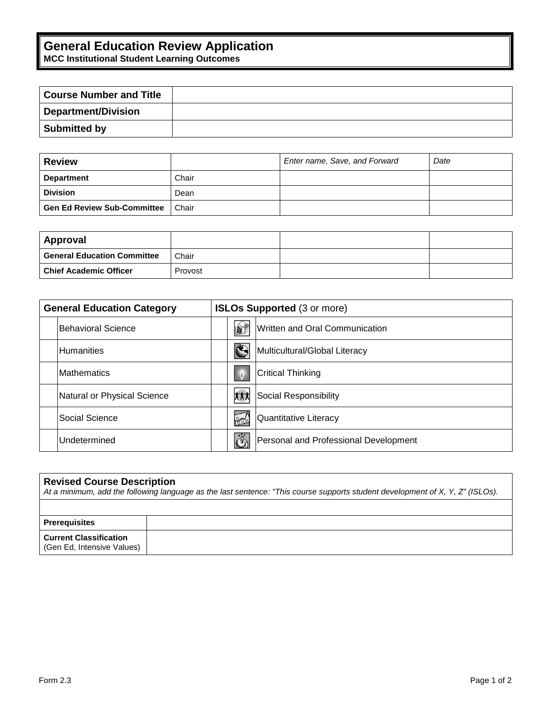## **General Education Review Application**

**MCC Institutional Student Learning Outcomes**

| <b>Course Number and Title</b> |  |
|--------------------------------|--|
| Department/Division            |  |
| Submitted by                   |  |

| <b>Review</b>                      |       | Enter name, Save, and Forward | Date |
|------------------------------------|-------|-------------------------------|------|
| <b>Department</b>                  | Chair |                               |      |
| <b>Division</b>                    | Dean  |                               |      |
| <b>Gen Ed Review Sub-Committee</b> | Chair |                               |      |

| Approval                    |         |  |
|-----------------------------|---------|--|
| General Education Committee | Chair   |  |
| Chief Academic Officer      | Provost |  |

| <b>General Education Category</b> | <b>ISLOs Supported (3 or more)</b>                            |  |
|-----------------------------------|---------------------------------------------------------------|--|
| <b>IBehavioral Science</b>        | Written and Oral Communication<br>D                           |  |
| <b>Humanities</b>                 | ♦<br>Multicultural/Global Literacy                            |  |
| <b>Mathematics</b>                | 澲<br><b>Critical Thinking</b>                                 |  |
| Natural or Physical Science       | xxx<br>Social Responsibility                                  |  |
| lSocial Science                   | HA<br>Quantitative Literacy                                   |  |
| <b>IUndetermined</b>              | $\ddot{\mathcal{C}}$<br>Personal and Professional Development |  |

| <b>Revised Course Description</b><br>At a minimum, add the following language as the last sentence: "This course supports student development of X, Y, Z" (ISLOs). |  |  |
|--------------------------------------------------------------------------------------------------------------------------------------------------------------------|--|--|
|                                                                                                                                                                    |  |  |
| <b>Prerequisites</b>                                                                                                                                               |  |  |
| <b>Current Classification</b><br>(Gen Ed. Intensive Values)                                                                                                        |  |  |